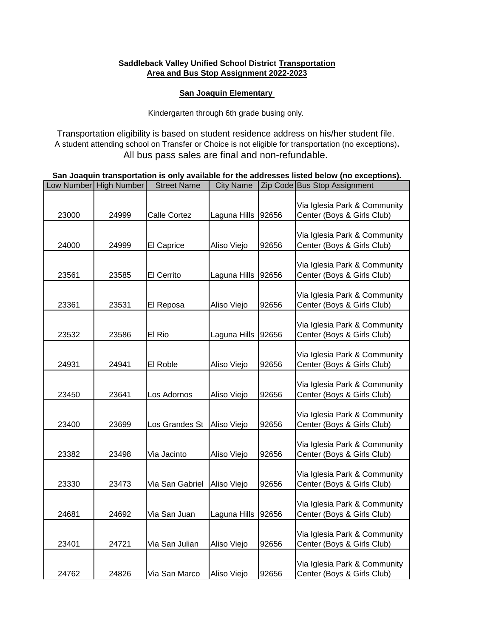## **Saddleback Valley Unified School District Transportation Area and Bus Stop Assignment 2022-2023**

## **San Joaquin Elementary**

Kindergarten through 6th grade busing only.

Transportation eligibility is based on student residence address on his/her student file. A student attending school on Transfer or Choice is not eligible for transportation (no exceptions)**.**  All bus pass sales are final and non-refundable.

| San Joaquin transportation is only available for the addresses listed below (no exceptions). |  |                                    |  |  |                                        |  |
|----------------------------------------------------------------------------------------------|--|------------------------------------|--|--|----------------------------------------|--|
|                                                                                              |  | Low Number High Number Street Name |  |  | City Name Zip Code Bus Stop Assignment |  |

| LOW INUITIDEI I | <b>High Number</b> | <b>Street Ivallie</b> | <b>URY INATTIE</b> |       | Zip Code Jous Stop Assignment                              |
|-----------------|--------------------|-----------------------|--------------------|-------|------------------------------------------------------------|
| 23000           | 24999              | Calle Cortez          | Laguna Hills       | 92656 | Via Iglesia Park & Community<br>Center (Boys & Girls Club) |
| 24000           | 24999              | El Caprice            | Aliso Viejo        | 92656 | Via Iglesia Park & Community<br>Center (Boys & Girls Club) |
| 23561           | 23585              | El Cerrito            | Laguna Hills       | 92656 | Via Iglesia Park & Community<br>Center (Boys & Girls Club) |
| 23361           | 23531              | El Reposa             | Aliso Viejo        | 92656 | Via Iglesia Park & Community<br>Center (Boys & Girls Club) |
| 23532           | 23586              | El Rio                | Laguna Hills       | 92656 | Via Iglesia Park & Community<br>Center (Boys & Girls Club) |
| 24931           | 24941              | El Roble              | Aliso Viejo        | 92656 | Via Iglesia Park & Community<br>Center (Boys & Girls Club) |
| 23450           | 23641              | Los Adornos           | Aliso Viejo        | 92656 | Via Iglesia Park & Community<br>Center (Boys & Girls Club) |
| 23400           | 23699              | Los Grandes St        | Aliso Viejo        | 92656 | Via Iglesia Park & Community<br>Center (Boys & Girls Club) |
| 23382           | 23498              | Via Jacinto           | Aliso Viejo        | 92656 | Via Iglesia Park & Community<br>Center (Boys & Girls Club) |
| 23330           | 23473              | Via San Gabriel       | Aliso Viejo        | 92656 | Via Iglesia Park & Community<br>Center (Boys & Girls Club) |
| 24681           | 24692              | Via San Juan          | Laguna Hills       | 92656 | Via Iglesia Park & Community<br>Center (Boys & Girls Club) |
| 23401           | 24721              | Via San Julian        | Aliso Viejo        | 92656 | Via Iglesia Park & Community<br>Center (Boys & Girls Club) |
| 24762           | 24826              | Via San Marco         | Aliso Viejo        | 92656 | Via Iglesia Park & Community<br>Center (Boys & Girls Club) |